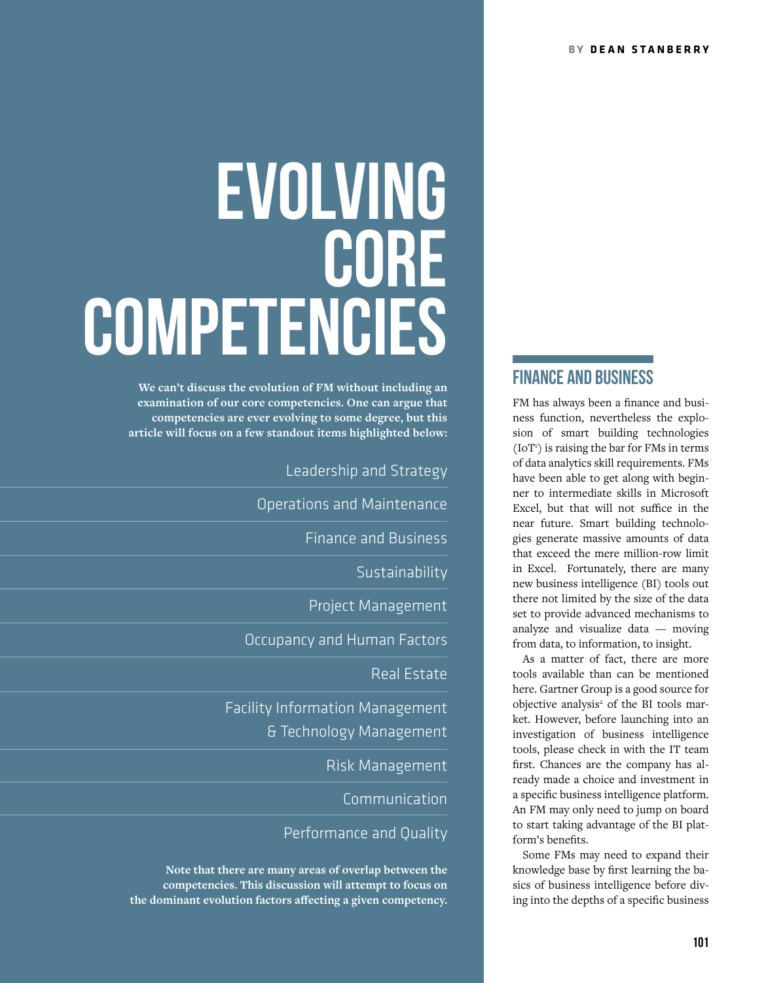# **EVOLVING** CORE Competencies

**We can't discuss the evolution of FM without including an examination of our core competencies. One can argue that competencies are ever evolving to some degree, but this article will focus on a few standout items highlighted below:**

Leadership and Strategy

Operations and Maintenance

Finance and Business

**Sustainability** 

Project Management

Occupancy and Human Factors

Real Estate

Facility Information Management & Technology Management

Risk Management

Communication

### Performance and Quality

**Note that there are many areas of overlap between the competencies. This discussion will attempt to focus on the dominant evolution factors affecting a given competency.**

# FINANCE AND BUSINESS

FM has always been a finance and business function, nevertheless the explosion of smart building technologies (IoT<sup>1</sup>) is raising the bar for FMs in terms of data analytics skill requirements. FMs have been able to get along with beginner to intermediate skills in Microsoft Excel, but that will not suffice in the near future. Smart building technologies generate massive amounts of data that exceed the mere million-row limit in Excel. Fortunately, there are many new business intelligence (BI) tools out there not limited by the size of the data set to provide advanced mechanisms to analyze and visualize data — moving from data, to information, to insight.

As a matter of fact, there are more tools available than can be mentioned here. Gartner Group is a good source for objective analysis<sup>2</sup> of the BI tools market. However, before launching into an investigation of business intelligence tools, please check in with the IT team first. Chances are the company has already made a choice and investment in a specific business intelligence platform. An FM may only need to jump on board to start taking advantage of the BI platform's benefits.

Some FMs may need to expand their knowledge base by first learning the basics of business intelligence before diving into the depths of a specific business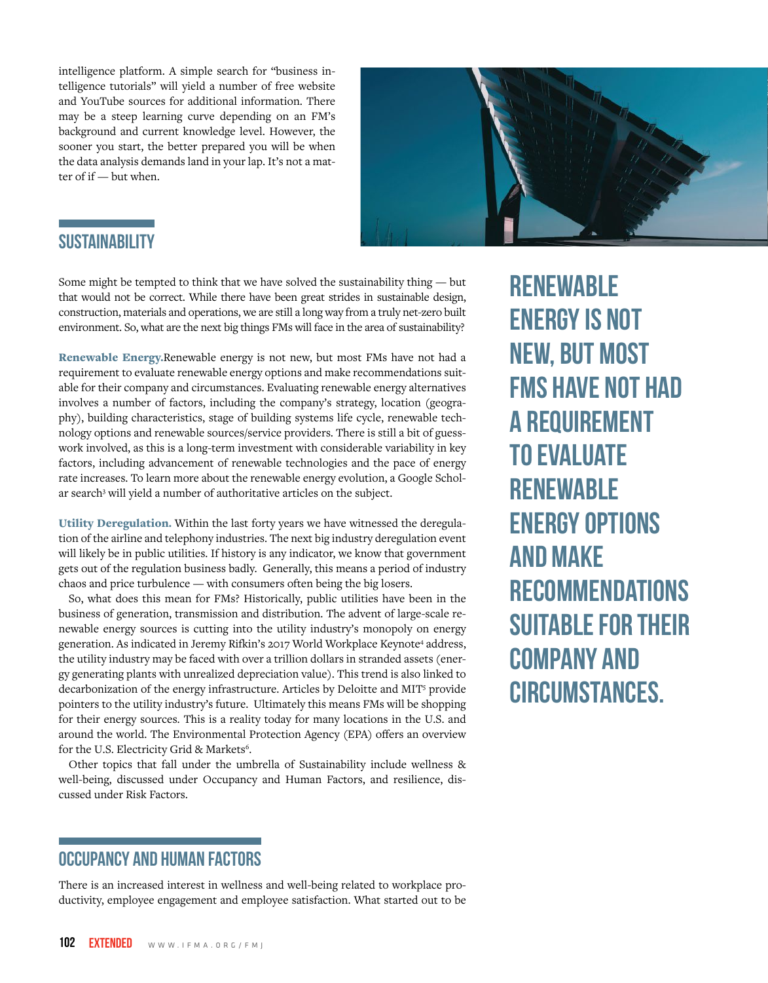intelligence platform. A simple search for "business intelligence tutorials" will yield a number of free website and YouTube sources for additional information. There may be a steep learning curve depending on an FM's background and current knowledge level. However, the sooner you start, the better prepared you will be when the data analysis demands land in your lap. It's not a matter of if — but when.



# **SUSTAINABILITY**

Some might be tempted to think that we have solved the sustainability thing — but that would not be correct. While there have been great strides in sustainable design, construction, materials and operations, we are still a long way from a truly net-zero built environment. So, what are the next big things FMs will face in the area of sustainability?

Renewable Energy.Renewable energy is not new, but most FMs have not had a requirement to evaluate renewable energy options and make recommendations suitable for their company and circumstances. Evaluating renewable energy alternatives involves a number of factors, including the company's strategy, location (geography), building characteristics, stage of building systems life cycle, renewable technology options and renewable sources/service providers. There is still a bit of guesswork involved, as this is a long-term investment with considerable variability in key factors, including advancement of renewable technologies and the pace of energy rate increases. To learn more about the renewable energy evolution, a Google Scholar search<sup>3</sup> will yield a number of authoritative articles on the subject.

Utility Deregulation. Within the last forty years we have witnessed the deregulation of the airline and telephony industries. The next big industry deregulation event will likely be in public utilities. If history is any indicator, we know that government gets out of the regulation business badly. Generally, this means a period of industry chaos and price turbulence — with consumers often being the big losers.

So, what does this mean for FMs? Historically, public utilities have been in the business of generation, transmission and distribution. The advent of large-scale renewable energy sources is cutting into the utility industry's monopoly on energy generation. As indicated in Jeremy Rifkin's 2017 World Workplace Keynote<sup>4</sup> address, the utility industry may be faced with over a trillion dollars in stranded assets (energy generating plants with unrealized depreciation value). This trend is also linked to decarbonization of the energy infrastructure. Articles by Deloitte and MIT<sup>5</sup> provide pointers to the utility industry's future. Ultimately this means FMs will be shopping for their energy sources. This is a reality today for many locations in the U.S. and around the world. The Environmental Protection Agency (EPA) offers an overview for the U.S. Electricity Grid & Markets<sup>6</sup>.

Other topics that fall under the umbrella of Sustainability include wellness & well-being, discussed under Occupancy and Human Factors, and resilience, discussed under Risk Factors.

# OCCUPANCY AND HUMAN FACTORS

There is an increased interest in wellness and well-being related to workplace productivity, employee engagement and employee satisfaction. What started out to be **RENEWABLE** energy is not new, but most FMs have not had a requirement to evaluate **RENEWABLE** energy options and make **RECOMMENDATIONS** suitable for their company and circumstances.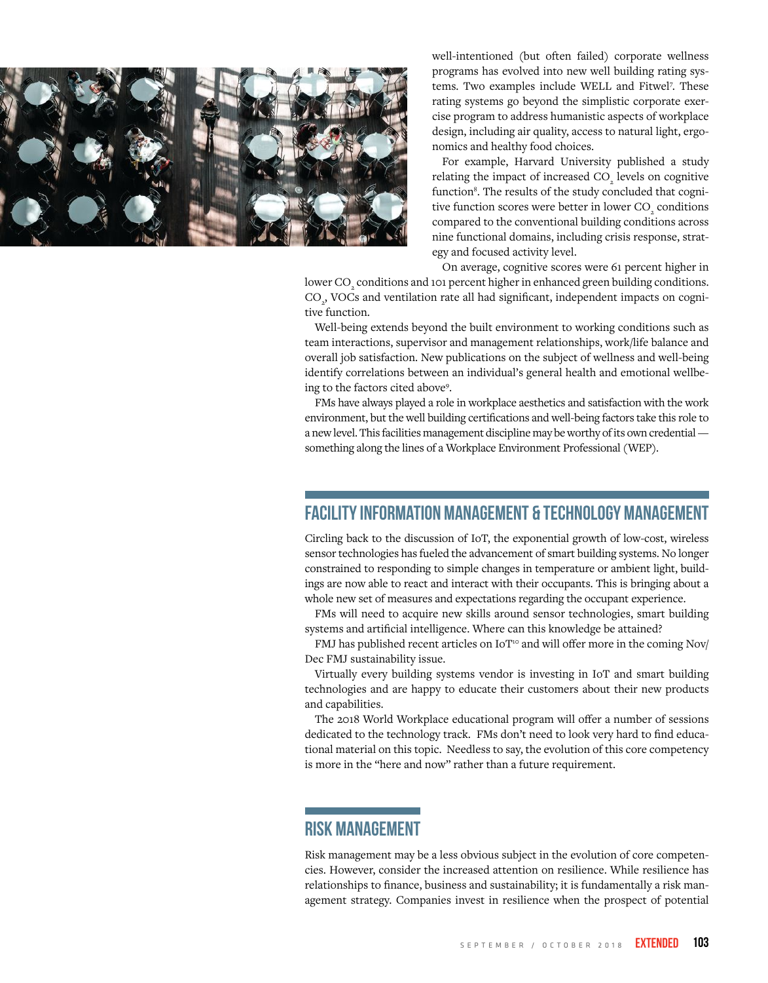

well-intentioned (but often failed) corporate wellness programs has evolved into new well building rating systems. Two examples include WELL and Fitwel<sup>7</sup>. These rating systems go beyond the simplistic corporate exercise program to address humanistic aspects of workplace design, including air quality, access to natural light, ergonomics and healthy food choices.

For example, Harvard University published a study relating the impact of increased  $\mathrm{CO}_2$  levels on cognitive function<sup>8</sup>. The results of the study concluded that cognitive function scores were better in lower  $\mathrm{CO}_\mathrm{_2}$  conditions compared to the conventional building conditions across nine functional domains, including crisis response, strategy and focused activity level.

On average, cognitive scores were 61 percent higher in

lower  $\mathrm{CO}_\mathrm{_2}$  conditions and 101 percent higher in enhanced green building conditions. CO<sub>2</sub>, VOCs and ventilation rate all had significant, independent impacts on cognitive function.

Well-being extends beyond the built environment to working conditions such as team interactions, supervisor and management relationships, work/life balance and overall job satisfaction. New publications on the subject of wellness and well-being identify correlations between an individual's general health and emotional wellbeing to the factors cited above9 .

FMs have always played a role in workplace aesthetics and satisfaction with the work environment, but the well building certifications and well-being factors take this role to a new level. This facilities management discipline may be worthy of its own credential something along the lines of a Workplace Environment Professional (WEP).

### FACILITY INFORMATION MANAGEMENT & TECHNOLOGY MANAGEMENT

Circling back to the discussion of IoT, the exponential growth of low-cost, wireless sensor technologies has fueled the advancement of smart building systems. No longer constrained to responding to simple changes in temperature or ambient light, buildings are now able to react and interact with their occupants. This is bringing about a whole new set of measures and expectations regarding the occupant experience.

FMs will need to acquire new skills around sensor technologies, smart building systems and artificial intelligence. Where can this knowledge be attained?

FMJ has published recent articles on IoT<sup>10</sup> and will offer more in the coming Nov/ Dec FMJ sustainability issue.

Virtually every building systems vendor is investing in IoT and smart building technologies and are happy to educate their customers about their new products and capabilities.

The 2018 World Workplace educational program will offer a number of sessions dedicated to the technology track. FMs don't need to look very hard to find educational material on this topic. Needless to say, the evolution of this core competency is more in the "here and now" rather than a future requirement.

# RISK MANAGEMENT

Risk management may be a less obvious subject in the evolution of core competencies. However, consider the increased attention on resilience. While resilience has relationships to finance, business and sustainability; it is fundamentally a risk management strategy. Companies invest in resilience when the prospect of potential